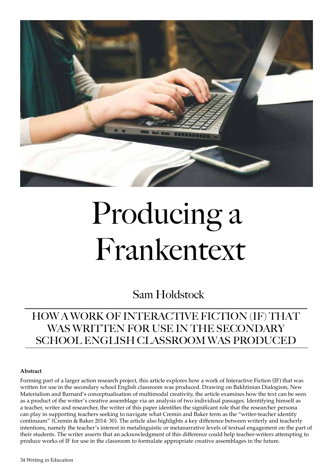

# Producing a Frankentext

Sam Holdstock

## HOW A WORK OF INTERACTIVE FICTION (IF) THAT WAS WRITTEN FOR USE IN THE SECONDARY SCHOOL ENGLISH CLASSROOM WAS PRODUCED

#### **Abstract**

Forming part of a larger action research project, this article explores how a work of Interactive Fiction (IF) that was written for use in the secondary school English classroom was produced. Drawing on Bakhtinian Dialogism, New Materialism and Barnard's conceptualisation of multimodal creativity, the article examines how the text can be seen as a product of the writer's creative assemblage via an analysis of two individual passages. Identifying himself as a teacher, writer and researcher, the writer of this paper identifes the signifcant role that the researcher persona can play in supporting teachers seeking to navigate what Cremin and Baker term as the "writer-teacher identity continuum" (Cremin & Baker 2014: 30). The article also highlights a key diference between writerly and teacherly intentions, namely the teacher's interest in metalinguistic or metanarrative levels of textual engagement on the part of their students. The writer asserts that an acknowledgment of this diference could help teacher-writers attempting to produce works of IF for use in the classroom to formulate appropriate creative assemblages in the future.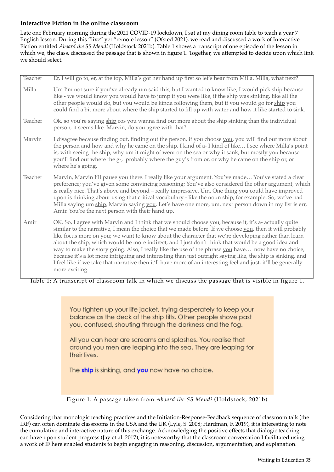### **Interactive Fiction in the online classroom**

Late one February morning during the 2021 COVID-19 lockdown, I sat at my dining room table to teach a year 7 English lesson. During this "live" yet "remote lesson" (Ofsted 2021), we read and discussed a work of Interactive Fiction entitled *Aboard the SS Mendi* (Holdstock 2021b). Table 1 shows a transcript of one episode of the lesson in which we, the class, discussed the passage that is shown in fgure 1. Together, we attempted to decide upon which link we should select.

| Teacher | Er, I will go to, er, at the top, Milla's got her hand up first so let's hear from Milla. Milla, what next?                                                                                                                                                                                                                                                                                                                                                                                                                                                                                                                                                                                                                                                                              |
|---------|------------------------------------------------------------------------------------------------------------------------------------------------------------------------------------------------------------------------------------------------------------------------------------------------------------------------------------------------------------------------------------------------------------------------------------------------------------------------------------------------------------------------------------------------------------------------------------------------------------------------------------------------------------------------------------------------------------------------------------------------------------------------------------------|
| Milla   | Um I'm not sure if you've already um said this, but I wanted to know like, I would pick ship because<br>like - we would know you would have to jump if you were like, if the ship was sinking, like all the<br>other people would do, but you would be kinda following them, but if you would go for ship you<br>could find a bit more about where the ship started to fill up with water and how it like started to sink.                                                                                                                                                                                                                                                                                                                                                               |
| Teacher | Ok, so you're saying ship cos you wanna find out more about the ship sinking than the individual<br>person, it seems like. Marvin, do you agree with that?                                                                                                                                                                                                                                                                                                                                                                                                                                                                                                                                                                                                                               |
| Marvin  | I disagree because finding out, finding out the person, if you choose you, you will find out more about<br>the person and how and why he came on the ship. I kind of a-I kind of like I see where Milla's point<br>is, with seeing the ship, why um it might of went on the sea or why it sank, but mostly you because<br>you'll find out where the g-, probably where the guy's from or, or why he came on the ship or, or<br>where he's going.                                                                                                                                                                                                                                                                                                                                         |
| Teacher | Marvin, Marvin I'll pause you there. I really like your argument. You've made You've stated a clear<br>preference; you've given some convincing reasoning; You've also considered the other argument, which<br>is really nice. That's above and beyond - really impressive. Um. One thing you could have improved<br>upon is thinking about using that critical vocabulary - like the noun ship, for example. So, we've had<br>Milla saying um ship, Marvin saying you. Let's have one more, um, next person down in my list is err,<br>Amir. You're the next person with their hand up.                                                                                                                                                                                                 |
| Amir    | OK. So, I agree with Marvin and I think that we should choose you, because it, it's a- actually quite<br>similar to the narrative, I mean the choice that we made before. If we choose you, then it will probably<br>like focus more on you; we want to know about the character that we're developing rather than learn<br>about the ship, which would be more indirect, and I just don't think that would be a good idea and<br>way to make the story going. Also, I really like the use of the phrase you have now have no choice,<br>because it's a lot more intriguing and interesting than just outright saying like, the ship is sinking, and<br>I feel like if we take that narrative then it'll have more of an interesting feel and just, it'll be generally<br>more exciting. |

Table 1: A transcript of classroom talk in which we discuss the passage that is visible in figure 1.

You tighten up your life jacket, trying desperately to keep your balance as the deck of the ship tilts. Other people shove past you, confused, shouting through the darkness and the fog.

All you can hear are screams and splashes. You realise that around you men are leaping into the sea. They are leaping for their lives.

The ship is sinking, and you now have no choice.

Figure 1: A passage taken from *Aboard the SS Mendi* (Holdstock, 2021b)

Considering that monologic teaching practices and the Initiation-Response-Feedback sequence of classroom talk (the IRF) can often dominate classrooms in the USA and the UK (Lyle, S. 2008; Hardman, F. 2019), it is interesting to note the cumulative and interactive nature of this exchange. Acknowledging the positive efects that dialogic teaching can have upon student progress (Jay et al. 2017), it is noteworthy that the classroom conversation I facilitated using a work of IF here enabled students to begin engaging in reasoning, discussion, argumentation, and explanation.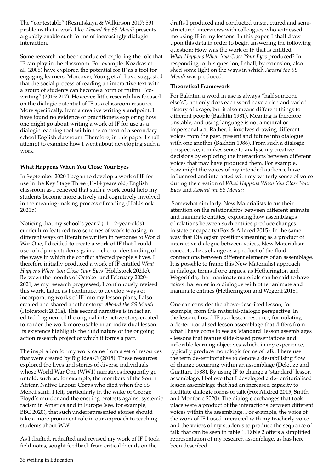The "contestable" (Reznitskaya & Wilkinson 2017: 59) problems that a work like *Aboard the SS Mendi* presents arguably enable such forms of increasingly dialogic interaction.

Some research has been conducted exploring the role that IF can play in the classroom. For example, Kozdras et al. (2006) have explored the potential for IF as a tool for engaging learners. Moreover, Young et al. have suggested that the social process of reading an interactive text with a group of students can become a form of fruitful "cowriting" (2015: 217). However, little research has focused on the dialogic potential of IF as a classroom resource. More specifically, from a creative writing standpoint, I have found no evidence of practitioners exploring how one might go about writing a work of IF for use as a dialogic teaching tool within the context of a secondary school English classroom. Therefore, in this paper I shall attempt to examine how I went about developing such a work.

#### **What Happens When You Close Your Eyes**

In September 2020 I began to develop a work of IF for use in the Key Stage Three (11-14 years old) English classroom as I believed that such a work could help my students become more actively and cognitively involved in the meaning-making process of reading (Holdstock 2021b).

Noticing that my school's year 7 (11–12-year-olds) curriculum featured two schemes of work focusing in diferent ways on literature written in response to World War One, I decided to create a work of IF that I could use to help my students gain a richer understanding of the ways in which the confict afected people's lives. I therefore initially produced a work of IF entitled *What Happens When You Close Your Eyes* (Holdstock 2021c). Between the months of October and February 2020- 2021, as my research progressed, I continuously revised this work. Later, as I continued to develop ways of incorporating works of IF into my lesson plans, I also created and shared another story: *Aboard the SS Mendi* (Holdstock 2021a). This second narrative is in fact an edited fragment of the original interactive story, created to render the work more usable in an individual lesson. Its existence highlights the fuid nature of the ongoing action research project of which it forms a part.

The inspiration for my work came from a set of resources that were created by Big Ideas© (2018). These resources explored the lives and stories of diverse individuals whose World War One (WW1) narratives frequently go untold, such as, for example, the members of the South African Native Labour Corps who died when the SS Mendi sank. I felt, particularly in the wake of George Floyd's murder and the ensuing protests against systemic racism in America and in Europe (see, for example, BBC 2020), that such underrepresented stories should take a more prominent role in our approach to teaching students about WW1.

As I drafted, redrafted and revised my work of IF, I took feld notes, sought feedback from critical friends on the

drafts I produced and conducted unstructured and semistructured interviews with colleagues who witnessed me using IF in my lessons. In this paper, I shall draw upon this data in order to begin answering the following question: How was the work of IF that is entitled *What Happens When You Close Your Eyes* produced? In responding to this question, I shall, by extension, also shed some light on the ways in which *Aboard the SS Mendi* was produced.

#### **Theoretical Framework**

For Bakhtin, a word in use is always "half someone else's"; not only does each word have a rich and varied history of usage, but it also means diferent things to diferent people (Bakhtin 1981). Meaning is therefore unstable, and using language is not a neutral or impersonal act. Rather, it involves drawing diferent voices from the past, present and future into dialogue with one another (Bakhtin 1986). From such a dialogic perspective, it makes sense to analyse my creative decisions by exploring the interactions between diferent voices that may have produced them. For example, how might the voices of my intended audience have infuenced and interacted with my writerly sense of voice during the creation of *What Happens When You Close Your Eyes* and *Aboard the SS Mendi*?

 Somewhat similarly, New Materialists focus their attention on the relationships between diferent animate and inanimate entities, exploring how assemblages of relations between such entities produce changes in state or capacity (Fox & Alldred 2015). In the same way that Dialogism positions meaning as a product of interactive dialogue between voices, New Materialism conceptualizes change as a product of the fuid connections between diferent elements of an assemblage. It is possible to frame this New Materialist approach in dialogic terms if one argues, as Hetherington and Wegerif do, that inanimate materials can be said to have *voices* that enter into dialogue with other animate and inanimate entities (Hetherington and Wegerif 2018).

One can consider the above-described lesson, for example, from this material-dialogic perspective. In the lesson, I used IF as a lesson resource, formulating a de-territorialised lesson assemblage that difers from what I have come to see as 'standard' lesson assemblages - lessons that feature slide-based presentations and infexible learning objectives which, in my experience, typically produce monologic forms of talk. I here use the term de-territorialise to denote a destabilising flow of change occurring within an assemblage (Deleuze and Guattari, 1988). By using IF to change a 'standard' lesson assemblage, I believe that I developed a de-territorialised lesson assemblage that had an increased capacity to facilitate dialogic forms of talk (Fox Alldred 2015; Smith and Monforte 2020). The dialogic exchanges that took place were a product of the interactions between diferent voices within the assemblage. For example, the voice of the work of IF I used interacted with my teacherly voice and the voices of my students to produce the sequence of talk that can be seen in table 1. Table 2 offers a simplified representation of my research assemblage, as has here been described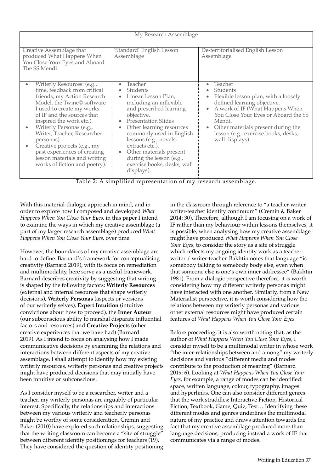| My Research Assemblage                                                                                                                                                                                                                                                                                                                                                                                                 |                                                                                                                                                                                                                                                                                                                                                                                                                        |                                                                                                                                                                                                                                                                                             |  |
|------------------------------------------------------------------------------------------------------------------------------------------------------------------------------------------------------------------------------------------------------------------------------------------------------------------------------------------------------------------------------------------------------------------------|------------------------------------------------------------------------------------------------------------------------------------------------------------------------------------------------------------------------------------------------------------------------------------------------------------------------------------------------------------------------------------------------------------------------|---------------------------------------------------------------------------------------------------------------------------------------------------------------------------------------------------------------------------------------------------------------------------------------------|--|
| Creative Assemblage that<br>produced What Happens When<br>You Close Your Eyes and Aboard<br>The SS Mendi                                                                                                                                                                                                                                                                                                               | 'Standard' English Lesson<br>Assemblage                                                                                                                                                                                                                                                                                                                                                                                | De-territorialised English Lesson<br>Assemblage                                                                                                                                                                                                                                             |  |
| Writerly Resources: (e.g.,<br>time, feedback from critical<br>friends, my Action Research<br>Model, the Twine© software<br>I used to create my works<br>of IF and the sources that<br>inspired the work etc.).<br>Writerly Personas (e.g.,<br>Writer, Teacher, Researcher<br>personas)<br>Creative projects (e.g., my<br>past experiences of creating<br>lesson materials and writing<br>works of fiction and poetry). | Teacher<br>$\bullet$<br>Students<br>Linear Lesson Plan,<br>$\bullet$<br>including an inflexible<br>and prescribed learning<br>objective.<br><b>Presentation Slides</b><br>$\bullet$<br>Other learning resources<br>$\bullet$<br>commonly used in English<br>lessons (e.g., novels,<br>extracts etc.).<br>Other materials present<br>$\bullet$<br>during the lesson (e.g.,<br>exercise books, desks, wall<br>displays). | $\bullet$ Teacher<br>Students<br>Flexible lesson plan, with a loosely<br>defined learning objective.<br>A work of IF (What Happens When<br>You Close Your Eyes or Aboard the SS<br>Mendi.<br>• Other materials present during the<br>lesson (e.g., exercise books, desks,<br>wall displays) |  |

Table 2: A simplified representation of my research assemblage.

With this material-dialogic approach in mind, and in order to explore how I composed and developed *What Happens When You Close Your Eyes*, in this paper I intend to examine the ways in which my creative assemblage (a part of my larger research assemblage) produced *What Happens When You Close Your Eyes*, over time.

However, the boundaries of my creative assemblage are hard to define. Barnard's framework for conceptualising creativity (Barnard 2019), with its focus on remediation and multimodality, here serve as a useful framework. Barnard describes creativity by suggesting that writing is shaped by the following factors: **Writerly Resources** (external and internal resources that shape writerly decisions), **Writerly Personas** (aspects or versions of our writerly selves), **Expert Intuition** (intuitive convictions about how to proceed), the **Inner Auteur** (our subconscious ability to marshal disparate infuential factors and resources) and **Creative Projects** (other creative experiences that we have had) (Barnard 2019). As I intend to focus on analysing how I made communicative decisions by examining the relations and interactions between diferent aspects of my creative assemblage, I shall attempt to identify how my existing writerly resources, writerly personas and creative projects might have produced decisions that may initially have been intuitive or subconscious.

As I consider myself to be a researcher, writer and a teacher, my writerly personas are arguably of particular interest. Specifcally, the relationships and interactions between my various writerly and teacherly personas might be worthy of some consideration. Cremin and Baker (2010) have explored such relationships, suggesting that the writing classroom can become a "site of struggle" between diferent identity positionings for teachers (19). They have considered the question of identity positioning

in the classroom through reference to "a teacher-writer, writer-teacher identity continuum" (Cremin & Baker 2014: 30). Therefore, although I am focusing on a work of IF rather than my behaviour within lessons themselves, it is possible, when analysing how my creative assemblage might have produced *What Happens When You Close Your Eyes*, to consider the story as a site of struggle which reflects my ongoing identity work as a teacherwriter / writer-teacher. Bakhtin notes that language "is somebody talking to somebody body else, even when that someone else is one's own inner addressee" (Bakhtin 1981). From a dialogic perspective therefore, it is worth considering how my diferent writerly personas might have interacted with one another. Similarly, from a New Materialist perspective, it is worth considering how the relations between my writerly personas and various other external resources might have produced certain features of *What Happens When You Close Your Eyes.* 

Before proceeding, it is also worth noting that, as the author of *What Happens When You Close Your Eyes*, I consider myself to be a multimodal writer in whose work "the inter-relationships between and among" my writerly decisions and various "diferent media and modes contribute to the production of meaning" (Barnard 2019: 6). Looking at *What Happens When You Close Your Eyes*, for example, a range of modes can be identifed: space, written language, colour, typography, images and hyperlinks. One can also consider diferent genres that the work straddles: Interactive Fiction, Historical Fiction, Textbook, Game, Quiz, Test… Identifying these diferent modes and genres underlines the multimodal nature of my practice and draws attention towards the fact that my creative assemblage produced more than language decisions, producing instead a work of IF that communicates via a range of modes.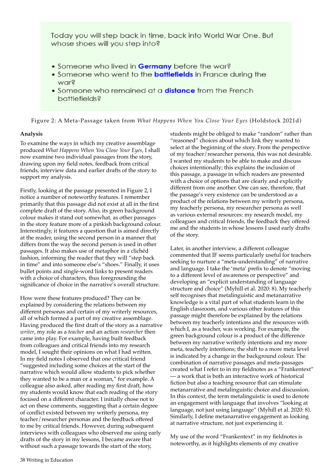Today you will step back in time, back into World War One. But whose shoes will you step into?

- . Someone who lived in Germany before the war?
- Someone who went to the **battlefields** in France during the warg
- Someone who remained at a **distance** from the French **battlefields?**

Figure 2: A Meta-Passage taken from *What Happens When You Close Your Eyes* (Holdstock 2021d)

#### **Analysis**

To examine the ways in which my creative assemblage produced *What Happens When You Close Your Eyes*, I shall now examine two individual passages from the story, drawing upon my feld notes, feedback from critical friends, interview data and earlier drafts of the story to support my analysis.

Firstly, looking at the passage presented in Figure 2, I notice a number of noteworthy features. I remember primarily that this passage did not exist at all in the frst complete draft of the story. Also, its green background colour makes it stand out somewhat, as other passages in the story feature more of a pinkish background colour. Interestingly, it features a question that is aimed directly at the reader, using the second person in a manner that difers from the way the second person is used in other passages. It also makes use of metaphor in a clichéd fashion, informing the reader that they will "step back in time" and into someone else's "shoes." Finally, it uses bullet points and single-word links to present readers with a choice of characters, thus foregrounding the signifcance of choice in the narrative's overall structure.

How were these features produced? They can be explained by considering the relations between my diferent personas and certain of my writerly resources, all of which formed a part of my creative assemblage. Having produced the first draft of the story as a narrative *writer*, my role as a *teacher* and an action *researcher* then came into play. For example, having built feedback from colleagues and critical friends into my research model, I sought their opinions on what I had written. In my feld notes I observed that one critical friend "suggested including some choices at the start of the narrative which would allow students to pick whether they wanted to be a man or a woman," for example. A colleague also asked, after reading my first draft, how my students would know that each reading of the story focused on a diferent character. I initially chose not to act on these comments, suggesting that a certain degree of confict existed between my writerly persona, my teacher/researcher personas and the feedback offered to me by critical friends. However, during subsequent interviews with colleagues who observed me using early drafts of the story in my lessons, I became aware that without such a passage towards the start of the story,

students might be obliged to make "random" rather than "reasoned" choices about which link they wanted to select at the beginning of the story. From the perspective of my teacher/researcher persona, this was not desirable. I wanted my students to be able to make and discuss choices intentionally; this explains the inclusion of this passage, a passage in which readers are presented with a choice of options that are clearly and explicitly diferent from one another. One can see, therefore, that the passage's very existence can be understood as a product of the relations between my writerly persona, my teacherly persona, my researcher persona as well as various external resources: my research model, my colleagues and critical friends, the feedback they ofered me and the students in whose lessons I used early drafts of the story.

Later, in another interview, a diferent colleague commented that IF seems particularly useful for teachers seeking to nurture a "meta-understanding" of narrative and language. I take the 'meta' prefx to denote "moving to a diferent level of awareness or perspective" and developing an "explicit understanding of language structure and choice" (Myhill et al. 2020: 8). My teacherly self recognises that metalinguistic and metanarrative knowledge is a vital part of what students learn in the English classroom, and various other features of this passage might therefore be explained by the relations between my teacherly intentions and the resources with which I, as a teacher, was working. For example, the green background colour is a product of the diference between my narrative writerly intentions and my more meta, teacherly intentions; the shift to a more meta level is indicated by a change in the background colour. The combination of narrative passages and meta-passages created what I refer to in my feldnotes as a "Frankentext" — a work that is both an interactive work of historical fiction but also a teaching resource that can stimulate metanarrative and metalinguistic choice and discussion. In this context, the term metalinguistic is used to denote an engagement with language that involves "looking at language, not just using language" (Myhill et al. 2020: 8). Similarly, I define metanarrative engagement as looking at narrative structure, not just experiencing it.

My use of the word "Frankentext" in my feldnotes is noteworthy, as it highlights elements of my creative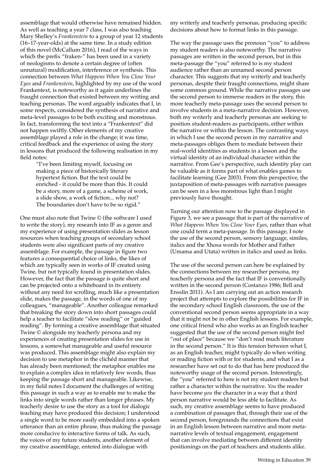assemblage that would otherwise have remained hidden. As well as teaching a year 7 class, I was also teaching Mary Shelley's *Frankenstein* to a group of year 12 students (16–17-year-olds) at the same time. In a study edition of this novel (McCallum 2016), I read of the ways in which the prefx "fraken-" has been used in a variety of neologisms to denote a certain degree of (often unnatural) modifcation, interference or synthesis. This connection between *What Happens When You Close Your Eyes* and *Frankenstein*, highlighted by my use of the word Frankentext, is noteworthy as it again underlines the fraught connection that existed between my writing and teaching personas. The word arguably indicates that I, in some respects, considered the synthesis of narrative and meta-level passages to be both exciting and monstrous. In fact, transforming the text into a "Frankentext" did not happen swiftly. Other elements of my creative assemblage played a role in the change; it was time, critical feedback and the experience of using the story in lessons that produced the following realisation in my feld notes:

"I've been limiting myself, focusing on making a piece of historically literary hypertext fiction. But the text could be enriched - it could be more than this. It could be a story, more of a game, a scheme of work, a slide show, a work of fiction... why not? The boundaries don't have to be so rigid."

One must also note that Twine © (the software I used to write the story), my research into IF as a genre and my experience of using presentation slides as lesson resources when teaching groups of secondary school students were also signifcant parts of my creative assemblage. For example, the passage in figure two features a consequential choice of links, the likes of which are typically seen in works of IF created using Twine, but not typically found in presentation slides. However, the fact that the passage is quite short and can be projected onto a whiteboard in its entirety without any need for scrolling, much like a presentation slide, makes the passage, in the words of one of my colleagues, "manageable". Another colleague remarked that breaking the story down into short passages could help a teacher to facilitate "slow reading" or "guided reading". By forming a creative assemblage that situated Twine © alongside my teacherly persona and my experiences of creating presentation slides for use in lessons, a somewhat manageable and useful resource was produced. This assemblage might also explain my decision to use metaphor in the clichéd manner that has already been mentioned; the metaphor enables me to explain a complex idea in relatively few words, thus keeping the passage short and manageable. Likewise, in my feld notes I document the challenges of writing this passage in such a way as to enable me to make the links into single words rather than longer phrases. My teacherly desire to use the story as a tool for dialogic teaching may have produced this decision; I understood a single word to be more easily embedded into a spoken utterance than an entire phrase, thus making the passage more conducive to interactive forms of talk. As such, the voices of my future students, another element of my creative assemblage, entered into dialogue with

my writerly and teacherly personas, producing specifc decisions about how to format links in this passage.

The way the passage uses the pronoun "you" to address my student readers is also noteworthy. The narrative passages are written in the second person, but in this meta-passage the "you" referred to is my student audience rather than an unnamed second person character. This suggests that my writerly and teacherly personas, despite their fraught connections, might share some common ground. While the narrative passages use the second person to immerse readers in the story, this more teacherly meta-passage uses the second person to involve students in a meta-narrative decision. However, both my writerly and teacherly personas are seeking to position student-readers as participants, either within the narrative or within the lesson. The contrasting ways in which I use the second person in my narrative and meta-passages obliges them to mediate between their real-world identities as students in a lesson and the virtual identity of an individual character within the narrative. From Gee's perspective, such identity play can be valuable as it forms part of what enables games to facilitate learning (Gee 2003). From this perspective, the juxtaposition of meta-passages with narrative passages can be seen in a less monstrous light than I might previously have thought.

Turning our attention now to the passage displayed in Figure 3, we see a passage that is part of the narrative of *What Happens When You Close Your Eyes*, rather than what one could term a meta-passage. In this passage, I note the use of the second person, sensory language, similes, italics and the Xhosa words for Mother and Father (Umama and Utata) written in italics and used as links.

The use of the second person can here be explained by the connections between my researcher persona, my teacherly persona and the fact that IF is conventionally written in the second person (Costanzo 1986; Bell and Ensslin 2011). As I am carrying out an action research project that attempts to explore the possibilities for IF in the secondary school English classroom, the use of the conventional second person seems appropriate in a way that it might not be in other English lessons. For example, one critical friend who also works as an English teacher suggested that the use of the second person might feel "out of place" because we "don't read much literature in the second person." It is this tension between what I, as an English teacher, might typically do when writing or reading fiction with or for students, and what I as a researcher have set out to do that has here produced the noteworthy usage of the second person. Interestingly, the "you" referred to here is not my student readers but rather a character within the narrative. *You* the reader have become *you* the character in a way that a third person narrative would be less able to facilitate. As such, my creative assemblage seems to have produced a combination of passages that, through their use of the second person, foregrounds the connections that exist in an English lesson between narrative and more metanarrative levels of textual engagement, engagement that can involve mediating between diferent identity positionings on the part of teachers and students alike.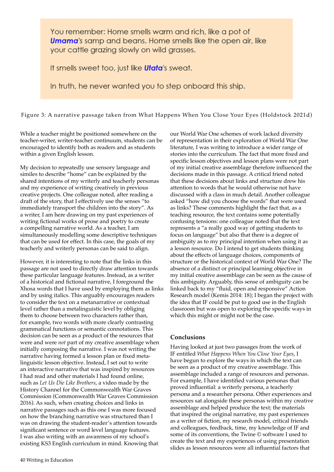You remember: Home smells warm and rich, like a pot of **Umama**'s samp and beans. Home smells like the open air, like your cattle grazing slowly on wild grasses.

It smells sweet too, just like **Utata**'s sweat.

In truth, he never wanted you to step onboard this ship.

Figure 3: A narrative passage taken from What Happens When You Close Your Eyes (Holdstock 2021d)

While a teacher might be positioned somewhere on the teacher-writer, writer-teacher continuum, students can be encouraged to identify both as readers and as students within a given English lesson.

My decision to repeatedly use sensory language and similes to describe "home" can be explained by the shared intentions of my writerly and teacherly personas and my experience of writing creatively in previous creative projects. One colleague noted, after reading a draft of the story, that I efectively use the senses "to immediately transport the children into the story". As a writer, I am here drawing on my past experiences of writing fictional works of prose and poetry to create a compelling narrative world. As a teacher, I am simultaneously modelling some descriptive techniques that can be used for effect. In this case, the goals of my teacherly and writerly personas can be said to align.

However, it is interesting to note that the links in this passage are not used to directly draw attention towards these particular language features. Instead, as a writer of a historical and fctional narrative, I foreground the Xhosa words that I have used by employing them as links and by using italics. This arguably encourages readers to consider the text on a metanarrative or contextual level rather than a metalinguistic level by obliging them to choose between two characters rather than, for example, two words with more clearly contrasting grammatical functions or semantic connotations. This decision can be seen as a product of the resources that were and were *not* part of my creative assemblage when initially composing the narrative. I was not writing the narrative having formed a lesson plan or fixed metalinguistic lesson objective. Instead, I set out to write an interactive narrative that was inspired by resources I had read and other materials I had found online, such as *Let Us Die Like Brothers*, a video made by the History Channel for the Commonwealth War Graves Commission (Commonwealth War Graves Commission 2016). As such, when creating choices and links in narrative passages such as this one I was more focused on how the branching narrative was structured than I was on drawing the student-reader's attention towards significant sentence or word level language features. I was also writing with an awareness of my school's existing KS3 English curriculum in mind. Knowing that

our World War One schemes of work lacked diversity of representation in their exploration of World War One literature, I was writing to introduce a wider range of stories into the curriculum. The fact that more fxed and specifc lesson objectives and lesson plans were not part of my initial creative assemblage therefore infuenced the decisions made in this passage. A critical friend noted that these decisions about links and structure drew his attention to words that he would otherwise not have discussed with a class in much detail. Another colleague asked "how did you choose the words" that were used as links? These comments highlight the fact that, as a teaching resource, the text contains some potentially confusing tensions: one colleague noted that the text represents a "a really good way of getting students to focus on language" but also that there is a degree of ambiguity as to my principal intention when using it as a lesson resource. Do I intend to get students thinking about the efects of language choices, components of structure or the historical context of World War One? The absence of a distinct or principal learning objective in my initial creative assemblage can be seen as the cause of this ambiguity. Arguably, this sense of ambiguity can be linked back to my "fuid, open and responsive" Action Research model (Kemis 2014: 18); I began the project with the idea that IF could be put to good use in the English classroom but was open to exploring the specifc ways in which this might or might not be the case.

#### **Conclusions**

Having looked at just two passages from the work of IF entitled *What Happens When You Close Your Eyes*, I have begun to explore the ways in which the text can be seen as a product of my creative assemblage. This assemblage included a range of resources and personas. For example, I have identifed various personas that proved infuential: a writerly persona, a teacherly persona and a researcher persona. Other experiences and resources sat alongside these personas within my creative assemblage and helped produce the text; the materials that inspired the original narrative, my past experiences as a writer of fiction, my research model, critical friends and colleagues, feedback, time, my knowledge of IF and some of its conventions, the Twine © software I used to create the text and my experiences of using presentation slides as lesson resources were all infuential factors that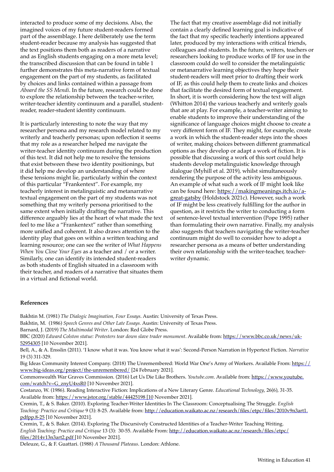interacted to produce some of my decisions. Also, the imagined voices of my future student-readers formed part of the assemblage. I here deliberately use the term student-reader because my analysis has suggested that the text positions them both as readers of a narrative and as English students engaging on a more meta level; the transcribed discussion that can be found in table 1 further demonstrates this meta-narrative form of textual engagement on the part of my students, as facilitated by choices and links contained within a passage from *Aboard the SS Mendi*. In the future, research could be done to explore the relationship between the teacher-writer, writer-teacher identity continuum and a parallel, studentreader, reader-student identity continuum.

It is particularly interesting to note the way that my researcher persona and my research model related to my writerly and teacherly personas; upon reflection it seems that my role as a researcher helped me navigate the writer-teacher identity continuum during the production of this text. It did not help me to resolve the tensions that exist between these two identity positionings, but it did help me develop an understanding of where these tensions might lie, particularly within the context of this particular "Frankentext". For example, my teacherly interest in metalinguistic and metanarrative textual engagement on the part of my students was not something that my writerly persona prioritised to the same extent when initially drafting the narrative. This diference arguably lies at the heart of what made the text feel to me like a "Frankentext" rather than something more unifed and coherent. It also draws attention to the identity play that goes on within a written teaching and learning resource; one can see the writer of *What Happens When You Close Your Eyes* as a teacher and / or a writer. Similarly, one can identify its intended student-readers as both students of English situated in a classroom with their teacher, and readers of a narrative that situates them in a virtual and fictional world.

The fact that my creative assemblage did not initially contain a clearly defned learning goal is indicative of the fact that my specifc teacherly intentions appeared later, produced by my interactions with critical friends, colleagues and students. In the future, writers, teachers or researchers looking to produce works of IF for use in the classroom could do well to consider the metalinguistic or metanarrative learning objectives they hope their student-readers will meet prior to drafting their work of IF, as this could help them to create links and choices that facilitate the desired form of textual engagement. In short, it is worth considering how the text will align (Whitton 2014) the various teacherly and writerly goals that are at play. For example, a teacher-writer aiming to enable students to improve their understanding of the signifcance of language choices might choose to create a very diferent form of IF. They might, for example, create a work in which the student-reader steps into the shoes of writer, making choices between diferent grammatical options as they develop or adapt a work of fiction. It is possible that discussing a work of this sort could help students develop metalinguistic knowledge through dialogue (Myhill et al. 2019), whilst simultaneously rendering the purpose of the activity less ambiguous. An example of what such a work of IF might look like can be found here: https://makingmeanings.itch.io/agreat-gatsby (Holdstock 2021c). However, such a work of IF might be less creatively fulflling for the author in question, as it restricts the writer to conducting a form of sentence-level textual intervention (Pope 1995) rather than formulating their own narrative. Finally, my analysis also suggests that teachers navigating the writer-teacher continuum might do well to consider how to adopt a researcher persona as a means of better understanding their own relationship with the writer-teacher, teacherwriter dynamic.

#### **References**

Bakhtin M. (1981) *The Dialogic Imagination, Four Essays*. Austin: University of Texas Press. Bakhtin, M. (1986) *Speech Genres and Other Late Essays.* Austin: University of Texas Press.

Barnard, J. (2019) *The Multimodal Writer*. London: Red Globe Press.

BBC (2020) *Edward Colston statue: Protesters tear down slave trader monument*. Available from: https://www.bbc.co.uk/news/uk-52954305 [10 November 2021].

Bell, A., & A. Ensslin (2011). 'I know what it was. You know what it was': Second-Person Narration in Hypertext Fiction. *Narrative* 19 (3) 311-329.

Big Ideas Community Interest Company. (2018) The Unremembered: World War One's Army of Workers. Available From: https:// www.big-ideas.org/project/the-unremembered/ [24 February 2021].

Commonwealth War Graves Commission. (2016) Let Us Die Like Brothers. *Youtube.com*. Available from: https://www.youtube. com/watch?v=G\_znyU4xsR0 [10 November 2021].

Costanzo, W. (1986). Reading Interactive Fiction: Implications of a New Literary Genre. *Educational Technology*, 26(6), 31-35. Available from: https://www.jstor.org/stable/44425198 [10 November 2021].

Cremin, T., & S. Baker. (2010). Exploring Teacher-Writer Identities In The Classroom: Conceptualising The Struggle. *English Teaching: Practice and Critique* 9 (3): 8-25. Available from: http://education.waikato.ac.nz/research/fles/etpc/fles/2010v9n3art1. pdfpp.8-25 [10 November 2021].

Cremin, T., & S. Baker. (2014). Exploring The Discursively Constructed Identities of a Teacher-Writer Teaching Writing. *English Teaching: Practice and Critique* 13 (3): 30-55. Available From: http://education.waikato.ac.nz/research/fles/etpc/ fles/2014v13n3art2.pdf [10 November 2021].

Deleuze, G., & F. Guattari. (1988) *A Thousand Plateaus*. London: Athlone.